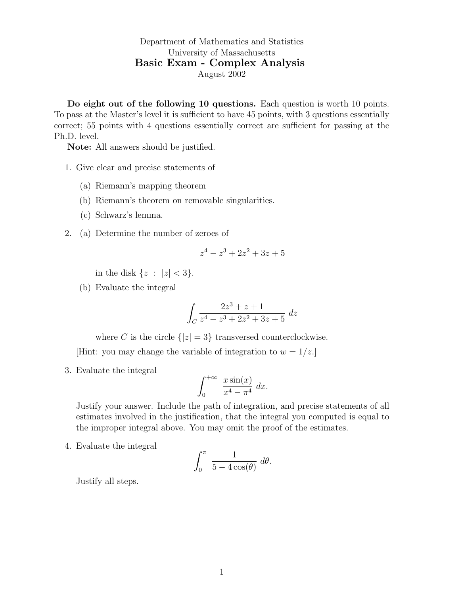Department of Mathematics and Statistics University of Massachusetts Basic Exam - Complex Analysis August 2002

Do eight out of the following 10 questions. Each question is worth 10 points. To pass at the Master's level it is sufficient to have 45 points, with 3 questions essentially correct; 55 points with 4 questions essentially correct are sufficient for passing at the Ph.D. level.

Note: All answers should be justified.

- 1. Give clear and precise statements of
	- (a) Riemann's mapping theorem
	- (b) Riemann's theorem on removable singularities.
	- (c) Schwarz's lemma.
- 2. (a) Determine the number of zeroes of

$$
z^4 - z^3 + 2z^2 + 3z + 5
$$

in the disk  $\{z : |z| < 3\}.$ 

(b) Evaluate the integral

$$
\int_C \frac{2z^3 + z + 1}{z^4 - z^3 + 2z^2 + 3z + 5} dz
$$

where C is the circle  $\{|z|=3\}$  transversed counterclockwise.

[Hint: you may change the variable of integration to  $w = 1/z$ .]

3. Evaluate the integral

$$
\int_0^{+\infty} \frac{x \sin(x)}{x^4 - \pi^4} dx.
$$

Justify your answer. Include the path of integration, and precise statements of all estimates involved in the justification, that the integral you computed is equal to the improper integral above. You may omit the proof of the estimates.

4. Evaluate the integral

$$
\int_0^{\pi} \frac{1}{5 - 4\cos(\theta)} d\theta.
$$

Justify all steps.